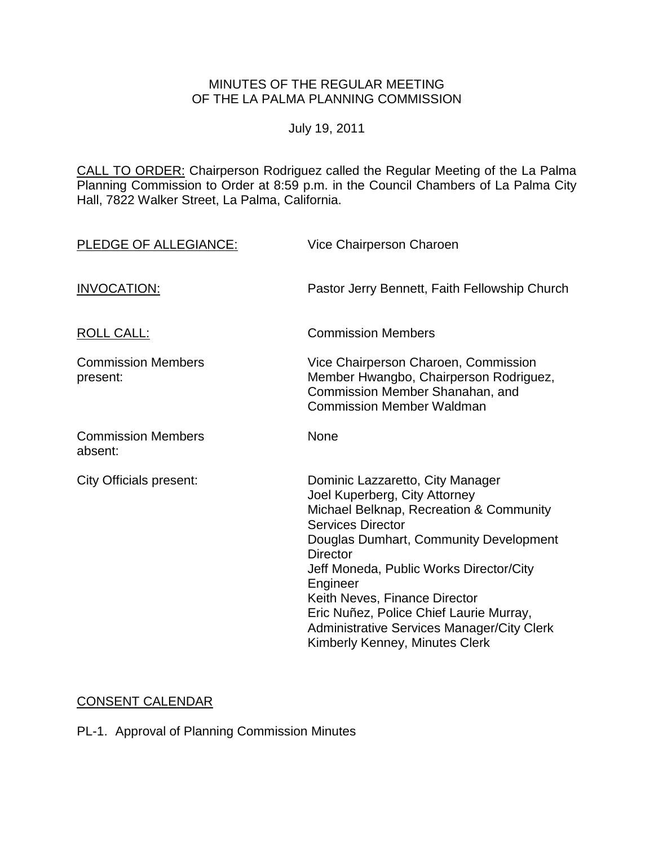## MINUTES OF THE REGULAR MEETING OF THE LA PALMA PLANNING COMMISSION

July 19, 2011

CALL TO ORDER: Chairperson Rodriguez called the Regular Meeting of the La Palma Planning Commission to Order at 8:59 p.m. in the Council Chambers of La Palma City Hall, 7822 Walker Street, La Palma, California.

| PLEDGE OF ALLEGIANCE:                 | Vice Chairperson Charoen                                                                                                                                                                                                                                                                                                                                                                                                        |
|---------------------------------------|---------------------------------------------------------------------------------------------------------------------------------------------------------------------------------------------------------------------------------------------------------------------------------------------------------------------------------------------------------------------------------------------------------------------------------|
| <b>INVOCATION:</b>                    | Pastor Jerry Bennett, Faith Fellowship Church                                                                                                                                                                                                                                                                                                                                                                                   |
| <b>ROLL CALL:</b>                     | <b>Commission Members</b>                                                                                                                                                                                                                                                                                                                                                                                                       |
| <b>Commission Members</b><br>present: | Vice Chairperson Charoen, Commission<br>Member Hwangbo, Chairperson Rodriguez,<br>Commission Member Shanahan, and<br><b>Commission Member Waldman</b>                                                                                                                                                                                                                                                                           |
| <b>Commission Members</b><br>absent:  | None                                                                                                                                                                                                                                                                                                                                                                                                                            |
| City Officials present:               | Dominic Lazzaretto, City Manager<br>Joel Kuperberg, City Attorney<br>Michael Belknap, Recreation & Community<br><b>Services Director</b><br>Douglas Dumhart, Community Development<br><b>Director</b><br>Jeff Moneda, Public Works Director/City<br>Engineer<br>Keith Neves, Finance Director<br>Eric Nuñez, Police Chief Laurie Murray,<br><b>Administrative Services Manager/City Clerk</b><br>Kimberly Kenney, Minutes Clerk |

## [CONSENT CALENDAR](http://lapalma.granicus.com/MediaPlayerFrameHandler.php?view_id=&clip_id=601&meta_id=76414)

PL-1. Approval of Planning Commission Minutes